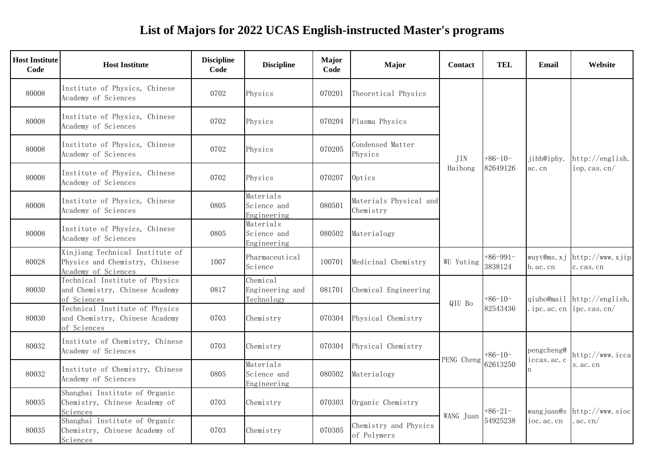## **List of Majors for 2022 UCAS English-instructed Master's programs**

| <b>Host Institute</b><br>Code | <b>Host Institute</b>                                                                    | <b>Discipline</b><br>Code | <b>Discipline</b>                         | <b>Major</b><br>Code | Major                                | <b>Contact</b> | TEL                   | Email                   | Website                           |
|-------------------------------|------------------------------------------------------------------------------------------|---------------------------|-------------------------------------------|----------------------|--------------------------------------|----------------|-----------------------|-------------------------|-----------------------------------|
| 80008                         | Institute of Physics, Chinese<br>Academy of Sciences                                     | 0702                      | Physics                                   | 070201               | Theoretical Physics                  |                |                       |                         |                                   |
| 80008                         | Institute of Physics, Chinese<br>Academy of Sciences                                     | 0702                      | Physics                                   | 070204               | Plasma Physics                       |                |                       |                         |                                   |
| 80008                         | Institute of Physics, Chinese<br>Academy of Sciences                                     | 0702                      | Physics                                   | 070205               | Condensed Matter<br>Physics          | JIN            | $+86-10-$<br>82649126 | jihh@iphy.              | http://english.                   |
| 80008                         | Institute of Physics, Chinese<br>Academy of Sciences                                     | 0702                      | Physics                                   | 070207               | Optics                               | Haihong        |                       | ac.cn                   | iop. cas. cn/                     |
| 80008                         | Institute of Physics, Chinese<br>Academy of Sciences                                     | 0805                      | Materials<br>Science and<br>Engineering   | 080501               | Materials Physical and<br>Chemistry  |                |                       |                         |                                   |
| 80008                         | Institute of Physics, Chinese<br>Academy of Sciences                                     | 0805                      | Materials<br>Science and<br>Engineering   | 080502               | Materialogy                          |                |                       |                         |                                   |
| 80028                         | Xinjiang Technical Institute of<br>Physics and Chemistry, Chinese<br>Academy of Sciences | 1007                      | Pharmaceutical<br>Science                 | 100701               | Medicinal Chemistry                  | WU Yuting      | $+86-991-$<br>3838124 | wuyt@ms.xj<br>b. ac. cn | http://www.xjip <br>c. cas. cn    |
| 80030                         | Technical Institute of Physics<br>and Chemistry, Chinese Academy<br>of Sciences          | 0817                      | Chemical<br>Engineering and<br>Technology | 081701               | Chemical Engineering                 | QIU Bo         | $+86-10-$             |                         | qiubo@mail http://english.        |
| 80030                         | Technical Institute of Physics<br>and Chemistry, Chinese Academy<br>of Sciences          | 0703                      | Chemistry                                 | 070304               | Physical Chemistry                   |                | 82543436              |                         | ipc. ac. cn $\vert$ ipc. cas. cn/ |
| 80032                         | Institute of Chemistry, Chinese<br>Academy of Sciences                                   | 0703                      | Chemistry                                 | 070304               | Physical Chemistry                   | PENG Cheng     | $+86-10-$             | pengcheng@              | http://www.iccal                  |
| 80032                         | Institute of Chemistry, Chinese<br>Academy of Sciences                                   | 0805                      | Materials<br>Science and<br>Engineering   | 080502               | Materialogy                          |                | 62613250              | iccas.ac.c              | s. ac. cn                         |
| 80035                         | Shanghai Institute of Organic<br>Chemistry, Chinese Academy of<br>Sciences               | 0703                      | Chemistry                                 | 070303               | Organic Chemistry                    |                | $+86-21-$             | wangjuan@s              | http://www.sioc                   |
| 80035                         | Shanghai Institute of Organic<br>Chemistry, Chinese Academy of<br>Sciences               | 0703                      | Chemistry                                 | 070305               | Chemistry and Physics<br>of Polymers | WANG Juan      | 54925238              | ioc. ac. cn             | ac. cn/                           |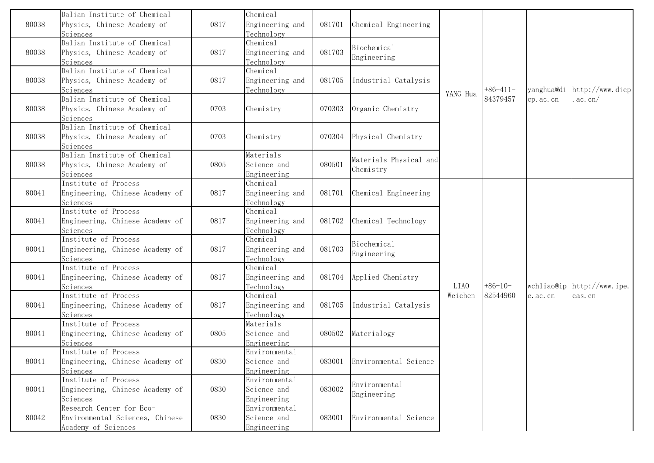| 80038 | Dalian Institute of Chemical<br>Physics, Chinese Academy of                        | 0817 | Chemical<br>Engineering and                 | 081701 | Chemical Engineering                |          |           |            |                                         |
|-------|------------------------------------------------------------------------------------|------|---------------------------------------------|--------|-------------------------------------|----------|-----------|------------|-----------------------------------------|
|       | Sciences<br>Dalian Institute of Chemical                                           |      | Technology<br>Chemical                      |        | Biochemical                         |          |           |            |                                         |
| 80038 | Physics, Chinese Academy of<br>Sciences                                            | 0817 | Engineering and<br>Technology               | 081703 | Engineering                         |          |           |            |                                         |
| 80038 | Dalian Institute of Chemical<br>Physics, Chinese Academy of                        | 0817 | Chemical<br>Engineering and                 | 081705 | Industrial Catalysis                |          |           |            |                                         |
|       | Sciences                                                                           |      | Technology                                  |        |                                     | YANG Hua | +86-411-  | yanghua@di | $\left  \text{http://www.dicp} \right $ |
| 80038 | Dalian Institute of Chemical<br>Physics, Chinese Academy of<br>Sciences            | 0703 | Chemistry                                   | 070303 | Organic Chemistry                   |          | 84379457  | cp. ac. cn | ac. cn/                                 |
| 80038 | Dalian Institute of Chemical<br>Physics, Chinese Academy of<br>Sciences            | 0703 | Chemistry                                   | 070304 | Physical Chemistry                  |          |           |            |                                         |
| 80038 | Dalian Institute of Chemical<br>Physics, Chinese Academy of<br>Sciences            | 0805 | Materials<br>Science and<br>Engineering     | 080501 | Materials Physical and<br>Chemistry |          |           |            |                                         |
| 80041 | Institute of Process<br>Engineering, Chinese Academy of<br>Sciences                | 0817 | Chemical<br>Engineering and<br>Technology   | 081701 | Chemical Engineering                |          |           |            |                                         |
| 80041 | Institute of Process<br>Engineering, Chinese Academy of<br>Sciences                | 0817 | Chemical<br>Engineering and<br>Technology   | 081702 | Chemical Technology                 |          |           |            |                                         |
| 80041 | Institute of Process<br>Engineering, Chinese Academy of<br>Sciences                | 0817 | Chemical<br>Engineering and<br>Technology   | 081703 | Biochemical<br>Engineering          |          |           |            |                                         |
| 80041 | Institute of Process<br>Engineering, Chinese Academy of<br>Sciences                | 0817 | Chemical<br>Engineering and<br>Technology   | 081704 | Applied Chemistry                   | LIA0     | $+86-10-$ |            | wchliao@ip http://www.ipe.              |
| 80041 | Institute of Process<br>Engineering, Chinese Academy of<br>Sciences                | 0817 | Chemical<br>Engineering and<br>Technology   | 081705 | Industrial Catalysis                | Weichen  | 82544960  | e. ac. cn  | cas.cn                                  |
| 80041 | Institute of Process<br>Engineering, Chinese Academy of<br>Sciences                | 0805 | Materials<br>Science and<br>Engineering     | 080502 | Materialogy                         |          |           |            |                                         |
| 80041 | Institute of Process<br>Engineering, Chinese Academy of<br>Sciences                | 0830 | Environmental<br>Science and<br>Engineering | 083001 | Environmental Science               |          |           |            |                                         |
| 80041 | Institute of Process<br>Engineering, Chinese Academy of<br>Sciences                | 0830 | Environmental<br>Science and<br>Engineering | 083002 | Environmental<br>Engineering        |          |           |            |                                         |
| 80042 | Research Center for Eco-<br>Environmental Sciences, Chinese<br>Academy of Sciences | 0830 | Environmental<br>Science and<br>Engineering | 083001 | Environmental Science               |          |           |            |                                         |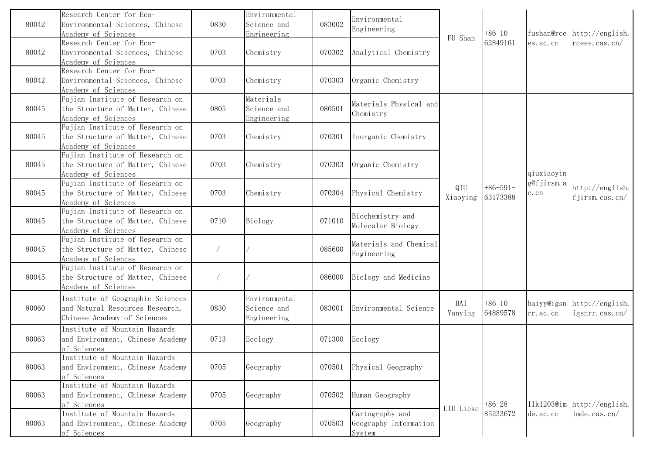| 80042 | Research Center for Eco-<br>Environmental Sciences, Chinese<br>Academy of Sciences                 | 0830 | Environmental<br>Science and<br>Engineering | 083002 | Environmental<br>Engineering                       | FU Shan         | $+86-10-$              |                    | fushan@rce http://english.                       |
|-------|----------------------------------------------------------------------------------------------------|------|---------------------------------------------|--------|----------------------------------------------------|-----------------|------------------------|--------------------|--------------------------------------------------|
| 80042 | Research Center for Eco-<br>Environmental Sciences, Chinese<br>Academy of Sciences                 | 0703 | Chemistry                                   | 070302 | Analytical Chemistry                               |                 | 62849161               | es. ac. cn         | $r$ cees. cas. cn/                               |
| 80042 | Research Center for Eco-<br>Environmental Sciences, Chinese<br>Academy of Sciences                 | 0703 | Chemistry                                   | 070303 | Organic Chemistry                                  |                 |                        |                    |                                                  |
| 80045 | Fujian Institute of Research on<br>the Structure of Matter, Chinese<br>Academy of Sciences         | 0805 | Materials<br>Science and<br>Engineering     | 080501 | Materials Physical and<br>Chemistry                |                 |                        |                    |                                                  |
| 80045 | Fujian Institute of Research on<br>the Structure of Matter, Chinese<br>Academy of Sciences         | 0703 | Chemistry                                   | 070301 | Inorganic Chemistry                                |                 |                        |                    |                                                  |
| 80045 | Fujian Institute of Research on<br>the Structure of Matter, Chinese<br>Academy of Sciences         | 0703 | Chemistry                                   | 070303 | Organic Chemistry                                  |                 |                        | qiuxiaoyin         |                                                  |
| 80045 | Fujian Institute of Research on<br>the Structure of Matter, Chinese<br>Academy of Sciences         | 0703 | Chemistry                                   | 070304 | Physical Chemistry                                 | QIU<br>Xiaoying | $+86-591-$<br>63173388 | g@fjirsm.a<br>c.cn | http://english.<br>f jirsm.cas.cn/               |
| 80045 | Fujian Institute of Research on<br>the Structure of Matter, Chinese<br>Academy of Sciences         | 0710 | Biology                                     | 071010 | Biochemistry and<br>Molecular Biology              |                 |                        |                    |                                                  |
| 80045 | Fujian Institute of Research on<br>the Structure of Matter, Chinese<br>Academy of Sciences         |      |                                             | 085600 | Materials and Chemical<br>Engineering              |                 |                        |                    |                                                  |
| 80045 | Fujian Institute of Research on<br>the Structure of Matter, Chinese<br>Academy of Sciences         |      |                                             | 086000 | Biology and Medicine                               |                 |                        |                    |                                                  |
| 80060 | Institute of Geographic Sciences<br>and Natural Resources Research,<br>Chinese Academy of Sciences | 0830 | Environmental<br>Science and<br>Engineering | 083001 | Environmental Science                              | BAI<br>Yanying  | $+86-10-$<br>64889578  | rr. ac. cn         | baiyy@igsn http://english.<br>igsnrr. cas. $cn/$ |
| 80063 | Institute of Mountain Hazards<br>and Environment, Chinese Academy<br>of Sciences                   | 0713 | Ecology                                     | 071300 | Ecology                                            |                 |                        |                    |                                                  |
| 80063 | Institute of Mountain Hazards<br>and Environment, Chinese Academy<br>of Sciences                   | 0705 | Geography                                   | 070501 | Physical Geography                                 |                 |                        |                    |                                                  |
| 80063 | Institute of Mountain Hazards<br>and Environment, Chinese Academy<br>of Sciences                   | 0705 | Geography                                   | 070502 | Human Geography                                    |                 | $+86-28-$              |                    | 11k1203@im http://english.                       |
| 80063 | Institute of Mountain Hazards<br>and Environment, Chinese Academy<br>of Sciences                   | 0705 | Geography                                   | 070503 | Cartography and<br>Geography Information<br>System | LIU Lieke       | 85233672               | de. ac. cn         | imde. cas. cn/                                   |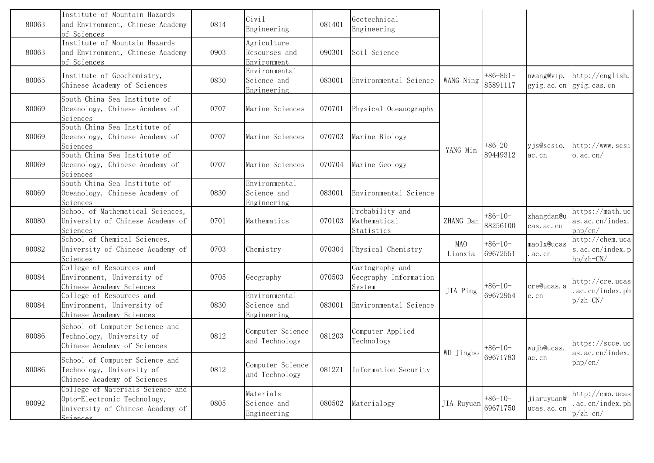| 80063 | Institute of Mountain Hazards<br>and Environment, Chinese Academy<br>of Sciences                                | 0814 | Civil<br>Engineering                        | 081401 | Geotechnical<br>Engineering                        |                                                                                                           |                        |                            |                                                       |
|-------|-----------------------------------------------------------------------------------------------------------------|------|---------------------------------------------|--------|----------------------------------------------------|-----------------------------------------------------------------------------------------------------------|------------------------|----------------------------|-------------------------------------------------------|
| 80063 | Institute of Mountain Hazards<br>and Environment, Chinese Academy<br>of Sciences                                | 0903 | Agriculture<br>Resourses and<br>Environment | 090301 | Soil Science                                       |                                                                                                           |                        |                            |                                                       |
| 80065 | Institute of Geochemistry,<br>Chinese Academy of Sciences                                                       | 0830 | Environmental<br>Science and<br>Engineering | 083001 | Environmental Science                              | WANG Ning                                                                                                 | $+86-851-$<br>85891117 | nwang@vip.<br>gyig. ac. cn | http://english.<br>gyig. cas. cn                      |
| 80069 | South China Sea Institute of<br>Oceanology, Chinese Academy of<br>Sciences                                      | 0707 | Marine Sciences                             | 070701 | Physical Oceanography                              |                                                                                                           |                        |                            |                                                       |
| 80069 | South China Sea Institute of<br>Oceanology, Chinese Academy of<br>Sciences                                      | 0707 | Marine Sciences                             | 070703 | Marine Biology                                     |                                                                                                           | $+86-20-$              | yjs@scsio.                 | http://www.scsi                                       |
| 80069 | South China Sea Institute of<br>Oceanology, Chinese Academy of<br>Sciences                                      | 0707 | Marine Sciences                             | 070704 | Marine Geology                                     | YANG Min                                                                                                  | 89449312               | ac. cn                     | $o.$ ac. cn/                                          |
| 80069 | South China Sea Institute of<br>Oceanology, Chinese Academy of<br>Sciences                                      | 0830 | Environmental<br>Science and<br>Engineering | 083001 | Environmental Science                              |                                                                                                           |                        |                            |                                                       |
| 80080 | School of Mathematical Sciences,<br>University of Chinese Academy of<br>Sciences                                | 0701 | Mathematics                                 | 070103 | Probability and<br>Mathematical<br>Statistics      | ZHANG Dan                                                                                                 | $+86-10-$<br>88256100  | zhangdan@u<br>cas. ac. cn  | https://math.uc<br>as. ac. cn/index.<br>php/en/       |
| 80082 | School of Chemical Sciences,<br>University of Chinese Academy of<br>Sciences                                    | 0703 | Chemistry                                   | 070304 | Physical Chemistry                                 | MAO<br>Lianxia                                                                                            | $+86-10-$<br>69672551  | maolx@ucas<br>ac. cn       | http://chem.ucal<br>s. ac. cn/index. p<br>$hpzh$ -CN/ |
| 80084 | College of Resources and<br>Environment, University of<br>Chinese Academy Sciences                              | 0705 | Geography                                   | 070503 | Cartography and<br>Geography Information<br>System |                                                                                                           | $+86-10-$              | cre@ucas.a                 | http://cre.ucas<br>ac. cn/index. ph                   |
| 80084 | College of Resources and<br>Environment, University of<br>Chinese Academy Sciences                              | 0830 | Environmental<br>Science and<br>Engineering | 083001 | Environmental Science                              | JIA Ping                                                                                                  | 69672954               | c.cn                       | $p/zh$ -CN $/$                                        |
| 80086 | School of Computer Science and<br>Technology, University of<br>Chinese Academy of Sciences                      | 0812 | Computer Science<br>and Technology          | 081203 | Computer Applied<br>Technology                     |                                                                                                           |                        | wujb@ucas.                 | https://scce.uc<br>as. ac. cn/index.                  |
| 80086 | School of Computer Science and<br>Technology, University of<br>Chinese Academy of Sciences                      | 0812 | Computer Science<br>and Technology          | 0812Z1 | Information Security                               | $\begin{tabular}{ c c c c } \hline \text{WU} & \text{Jingbo} & $\circ$ & $\circ$ \\ \hline \end{tabular}$ |                        | ac. cn                     | php/en/                                               |
| 80092 | College of Materials Science and<br>Opto-Electronic Technology,<br>University of Chinese Academy of<br>Sciences | 0805 | Materials<br>Science and<br>Engineering     | 080502 | Materialogy                                        | JIA Ruyuan                                                                                                | $+86-10-$<br>69671750  | jiaruyuan@<br>ucas. ac. cn | http://cmo.ucas <br>ac. cn/index. ph<br>$pzh$ -cn $/$ |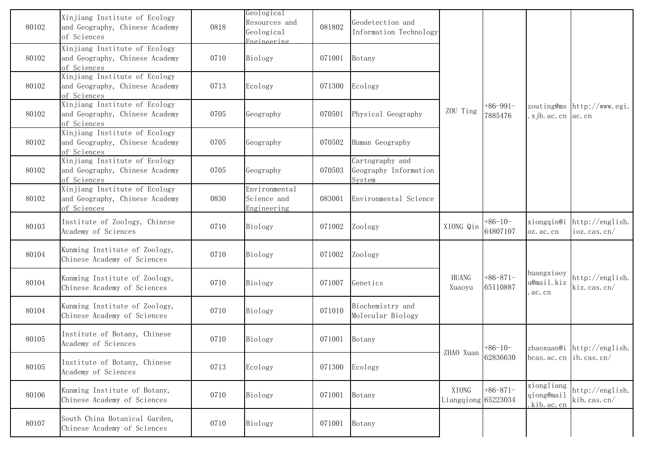| 80102 | Xinjiang Institute of Ecology<br>and Geography, Chinese Academy<br>of Sciences | 0818 | Geological<br>Resources and<br>Geological<br>Fngineering | 081802 | Geodetection and<br>Information Technology         |                                                                                                                                                                                                                                                                           |                        |                                       |                                     |
|-------|--------------------------------------------------------------------------------|------|----------------------------------------------------------|--------|----------------------------------------------------|---------------------------------------------------------------------------------------------------------------------------------------------------------------------------------------------------------------------------------------------------------------------------|------------------------|---------------------------------------|-------------------------------------|
| 80102 | Xinjiang Institute of Ecology<br>and Geography, Chinese Academy<br>of Sciences | 0710 | Biology                                                  | 071001 | Botany                                             |                                                                                                                                                                                                                                                                           |                        |                                       |                                     |
| 80102 | Xinjiang Institute of Ecology<br>and Geography, Chinese Academy<br>of Sciences | 0713 | Ecology                                                  | 071300 | Ecology                                            |                                                                                                                                                                                                                                                                           |                        |                                       |                                     |
| 80102 | Xinjiang Institute of Ecology<br>and Geography, Chinese Academy<br>of Sciences | 0705 | Geography                                                | 070501 | Physical Geography                                 | ZOU Ting                                                                                                                                                                                                                                                                  | $+86-991-$<br>7885476  | xjb. ac. cn ac. cn                    | zouting@ms http://www.egi.          |
| 80102 | Xinjiang Institute of Ecology<br>and Geography, Chinese Academy<br>of Sciences | 0705 | Geography                                                | 070502 | Human Geography                                    |                                                                                                                                                                                                                                                                           |                        |                                       |                                     |
| 80102 | Xinjiang Institute of Ecology<br>and Geography, Chinese Academy<br>of Sciences | 0705 | Geography                                                | 070503 | Cartography and<br>Geography Information<br>System |                                                                                                                                                                                                                                                                           |                        |                                       |                                     |
| 80102 | Xinjiang Institute of Ecology<br>and Geography, Chinese Academy<br>of Sciences | 0830 | Environmental<br>Science and<br>Engineering              | 083001 | Environmental Science                              |                                                                                                                                                                                                                                                                           |                        |                                       |                                     |
| 80103 | Institute of Zoology, Chinese<br>Academy of Sciences                           | 0710 | Biology                                                  | 071002 | Zoology                                            | XIONG Qin                                                                                                                                                                                                                                                                 | $+86-10-$<br>64807107  | xiongqin@i<br>oz. ac. cn              | http://english.<br>$i$ oz. cas. cn/ |
| 80104 | Kunming Institute of Zoology,<br>Chinese Academy of Sciences                   | 0710 | Biology                                                  | 071002 | Zoology                                            |                                                                                                                                                                                                                                                                           |                        |                                       |                                     |
| 80104 | Kunming Institute of Zoology,<br>Chinese Academy of Sciences                   | 0710 | Biology                                                  | 071007 | Genetics                                           | <b>HUANG</b><br>Xuaoyu                                                                                                                                                                                                                                                    | $+86-871-$<br>65110887 | huangxiaoy<br>u@mail.kiz<br>ac.cn     | http://english.<br>kiz.cas.cn/      |
| 80104 | Kunming Institute of Zoology,<br>Chinese Academy of Sciences                   | 0710 | Biology                                                  | 071010 | Biochemistry and<br>Molecular Biology              |                                                                                                                                                                                                                                                                           |                        |                                       |                                     |
| 80105 | Institute of Botany, Chinese<br>Academy of Sciences                            | 0710 | Biology                                                  | 071001 | Botany                                             |                                                                                                                                                                                                                                                                           | $+86-10-$              |                                       | zhaoxuan@i http://english.          |
| 80105 | Institute of Botany, Chinese<br>Academy of Sciences                            | 0713 | Ecology                                                  | 071300 | Ecology                                            | ZHAO Xuan $\begin{vmatrix} 0.06 & 0.06 & 0.06 & 0.06 & 0.06 & 0.06 & 0.06 & 0.06 & 0.06 & 0.06 & 0.06 & 0.06 & 0.06 & 0.06 & 0.06 & 0.06 & 0.06 & 0.06 & 0.06 & 0.06 & 0.06 & 0.06 & 0.06 & 0.06 & 0.06 & 0.06 & 0.06 & 0.06 & 0.06 & 0.06 & 0.06 & 0.06 & 0.06 & 0.06 &$ |                        | bcas. ac. cn $\vert$ ib. cas. cn/     |                                     |
| 80106 | Kunming Institute of Botany,<br>Chinese Academy of Sciences                    | 0710 | Biology                                                  | 071001 | Botany                                             | XIONG<br>Liangqiong 65223034                                                                                                                                                                                                                                              | $+86-871-$             | xiongliang<br>qiong@mail<br>kib.ac.cn | http://english.<br>kib. cas. cn/    |
| 80107 | South China Botanical Garden,<br>Chinese Academy of Sciences                   | 0710 | Biology                                                  | 071001 | Botany                                             |                                                                                                                                                                                                                                                                           |                        |                                       |                                     |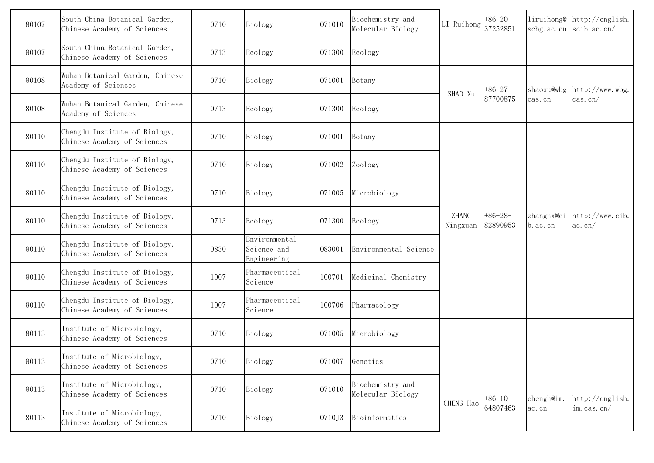| 80107 | South China Botanical Garden,<br>Chinese Academy of Sciences | 0710 | Biology                                     | 071010 | Biochemistry and<br>Molecular Biology | LI Ruihong        | $+86-20-$<br>37252851 |                                     | liruihong@ http://english.<br>scbg. ac. cn $\vert$ scib. ac. cn/ |
|-------|--------------------------------------------------------------|------|---------------------------------------------|--------|---------------------------------------|-------------------|-----------------------|-------------------------------------|------------------------------------------------------------------|
| 80107 | South China Botanical Garden,<br>Chinese Academy of Sciences | 0713 | Ecology                                     | 071300 | Ecology                               |                   |                       |                                     |                                                                  |
| 80108 | Wuhan Botanical Garden, Chinese<br>Academy of Sciences       | 0710 | Biology                                     | 071001 | Botany                                | SHAO Xu           | $+86-27-$             |                                     | shaoxu@wbg http://www.wbg.                                       |
| 80108 | Wuhan Botanical Garden, Chinese<br>Academy of Sciences       | 0713 | Ecology                                     | 071300 | Ecology                               |                   | 87700875              | cas.cn                              | $\cos$ . $\cos$                                                  |
| 80110 | Chengdu Institute of Biology,<br>Chinese Academy of Sciences | 0710 | Biology                                     | 071001 | Botany                                |                   |                       |                                     |                                                                  |
| 80110 | Chengdu Institute of Biology,<br>Chinese Academy of Sciences | 0710 | Biology                                     | 071002 | Zoology                               |                   |                       |                                     |                                                                  |
| 80110 | Chengdu Institute of Biology,<br>Chinese Academy of Sciences | 0710 | Biology                                     | 071005 | Microbiology                          |                   |                       |                                     |                                                                  |
| 80110 | Chengdu Institute of Biology,<br>Chinese Academy of Sciences | 0713 | Ecology                                     | 071300 | Ecology                               | ZHANG<br>Ningxuan | $+86-28-$<br>82890953 | zhangnx@ci<br>$\mathbf{b}$ . ac. cn | http://www.cib.<br>ac. cn/                                       |
| 80110 | Chengdu Institute of Biology,<br>Chinese Academy of Sciences | 0830 | Environmental<br>Science and<br>Engineering | 083001 | Environmental Science                 |                   |                       |                                     |                                                                  |
| 80110 | Chengdu Institute of Biology,<br>Chinese Academy of Sciences | 1007 | Pharmaceutical<br>Science                   | 100701 | Medicinal Chemistry                   |                   |                       |                                     |                                                                  |
| 80110 | Chengdu Institute of Biology,<br>Chinese Academy of Sciences | 1007 | Pharmaceutical<br>Science                   | 100706 | Pharmacology                          |                   |                       |                                     |                                                                  |
| 80113 | Institute of Microbiology,<br>Chinese Academy of Sciences    | 0710 | Biology                                     | 071005 | Microbiology                          |                   |                       |                                     |                                                                  |
| 80113 | Institute of Microbiology,<br>Chinese Academy of Sciences    | 0710 | Biology                                     | 071007 | Genetics                              |                   |                       |                                     |                                                                  |
| 80113 | Institute of Microbiology,<br>Chinese Academy of Sciences    | 0710 | Biology                                     | 071010 | Biochemistry and<br>Molecular Biology | CHENG Hao         | $+86-10-$             | chengh@im.                          | http://english.                                                  |
| 80113 | Institute of Microbiology,<br>Chinese Academy of Sciences    | 0710 | Biology                                     | 0710J3 | Bioinformatics                        |                   | 64807463              | ac.cn                               | im. cas. $cn/$                                                   |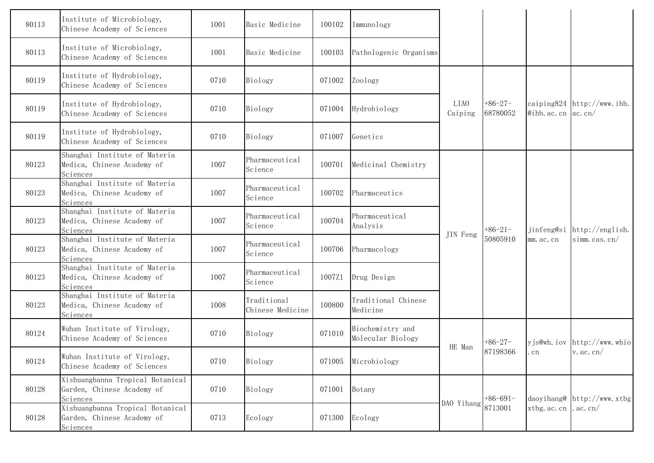| 80113 | Institute of Microbiology,<br>Chinese Academy of Sciences                  | 1001 | Basic Medicine                  | 100102 | Immunology                            |                 |                       |                         |                               |
|-------|----------------------------------------------------------------------------|------|---------------------------------|--------|---------------------------------------|-----------------|-----------------------|-------------------------|-------------------------------|
| 80113 | Institute of Microbiology,<br>Chinese Academy of Sciences                  | 1001 | Basic Medicine                  | 100103 | Pathologenic Organisms                |                 |                       |                         |                               |
| 80119 | Institute of Hydrobiology,<br>Chinese Academy of Sciences                  | 0710 | Biology                         | 071002 | Zoology                               |                 |                       |                         |                               |
| 80119 | Institute of Hydrobiology,<br>Chinese Academy of Sciences                  | 0710 | Biology                         | 071004 | Hydrobiology                          | LIA0<br>Caiping | $+86-27-$<br>68780052 | @ihb. ac. cn $ ac. cn $ | caiping $824$ http://www.ihb. |
| 80119 | Institute of Hydrobiology,<br>Chinese Academy of Sciences                  | 0710 | Biology                         | 071007 | Genetics                              |                 |                       |                         |                               |
| 80123 | Shanghai Institute of Materia<br>Medica, Chinese Academy of<br>Sciences    | 1007 | Pharmaceutical<br>Science       | 100701 | Medicinal Chemistry                   |                 |                       |                         |                               |
| 80123 | Shanghai Institute of Materia<br>Medica, Chinese Academy of<br>Sciences    | 1007 | Pharmaceutical<br>Science       | 100702 | Pharmaceutics                         |                 |                       |                         |                               |
| 80123 | Shanghai Institute of Materia<br>Medica, Chinese Academy of<br>Sciences    | 1007 | Pharmaceutical<br>Science       | 100704 | Pharmaceutical<br>Analysis            |                 | $+86-21-$             |                         | jinfeng@si http://english.    |
| 80123 | Shanghai Institute of Materia<br>Medica, Chinese Academy of<br>Sciences    | 1007 | Pharmaceutical<br>Science       | 100706 | Pharmacology                          | JIN Feng        | 50805910              | mm. ac. cn              | simm.cas.cn/                  |
| 80123 | Shanghai Institute of Materia<br>Medica, Chinese Academy of<br>Sciences    | 1007 | Pharmaceutical<br>Science       | 1007Z1 | Drug Design                           |                 |                       |                         |                               |
| 80123 | Shanghai Institute of Materia<br>Medica, Chinese Academy of<br>Sciences    | 1008 | Traditional<br>Chinese Medicine | 100800 | Traditional Chinese<br>Medicine       |                 |                       |                         |                               |
| 80124 | Wuhan Institute of Virology,<br>Chinese Academy of Sciences                | 0710 | Biology                         | 071010 | Biochemistry and<br>Molecular Biology |                 | $+86-27-$             |                         | yjs@wh.iov http://www.whio    |
| 80124 | Wuhan Institute of Virology,<br>Chinese Academy of Sciences                | 0710 | Biology                         | 071005 | Microbiology                          | HE Man          | 87198366              | . cn                    | $v$ . ac. cn/                 |
| 80128 | Xishuangbanna Tropical Botanical<br>Garden, Chinese Academy of<br>Sciences | 0710 | Biology                         | 071001 | Botany                                | DAO Yihang      | $+86-691-$            |                         | daoyihang@ http://www.xtbg    |
| 80128 | Xishuangbanna Tropical Botanical<br>Garden, Chinese Academy of<br>Sciences | 0713 | Ecology                         | 071300 | Ecology                               |                 | 8713001               | xtbg. ac. cn . ac. cn/  |                               |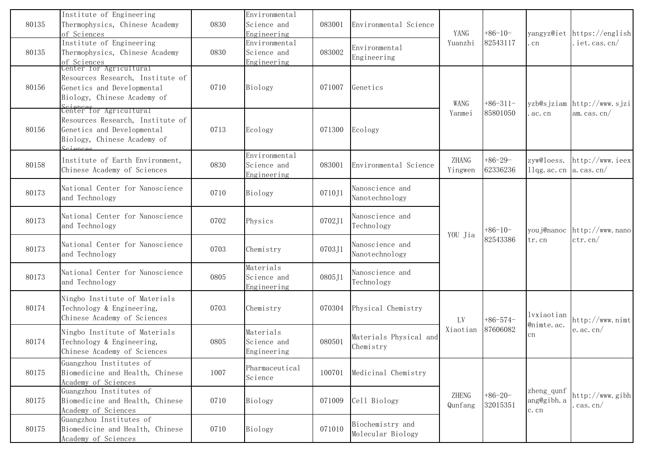| 80135 | Institute of Engineering<br>Thermophysics, Chinese Academy<br>of Sciences                                                            | 0830 | Environmental<br>Science and<br>Engineering | 083001 | Environmental Science                 | YANG             | $+86-10-$             |                                            | yangyz@iet https://english             |
|-------|--------------------------------------------------------------------------------------------------------------------------------------|------|---------------------------------------------|--------|---------------------------------------|------------------|-----------------------|--------------------------------------------|----------------------------------------|
| 80135 | Institute of Engineering<br>Thermophysics, Chinese Academy<br>of Sciences                                                            | 0830 | Environmental<br>Science and<br>Engineering | 083002 | Environmental<br>Engineering          | Yuanzhi          | 82543117              | cn                                         | iet.cas.cn/                            |
| 80156 | Center for Agricultural<br>Resources Research, Institute of<br>Genetics and Developmental<br>Biology, Chinese Academy of             | 0710 | Biology                                     | 071007 | Genetics                              | WANG             | $+86-311-$            |                                            | yzb@sjziam http://www.sjzi             |
| 80156 | Seiences<br>Center for Agricultural<br>Resources Research, Institute of<br>Genetics and Developmental<br>Biology, Chinese Academy of | 0713 | Ecology                                     | 071300 | Ecology                               | Yanmei           | 85801050              | ac. cn                                     | am. cas. $cn/$                         |
| 80158 | Institute of Earth Environment,<br>Chinese Academy of Sciences                                                                       | 0830 | Environmental<br>Science and<br>Engineering | 083001 | Environmental Science                 | ZHANG<br>Yingwen | $+86-29-$<br>62336236 | zyw@loess.<br>$1\log$ ac. cn   a. cas. cn/ | http://www.ieex                        |
| 80173 | National Center for Nanoscience<br>and Technology                                                                                    | 0710 | Biology                                     | 0710J1 | Nanoscience and<br>Nanotechnology     |                  |                       |                                            |                                        |
| 80173 | National Center for Nanoscience<br>and Technology                                                                                    | 0702 | Physics                                     | 0702J1 | Nanoscience and<br>Technology         | YOU Jia          | $+86-10-$             |                                            | youj@nanoc http://www.nano<br>ctr. cn/ |
| 80173 | National Center for Nanoscience<br>and Technology                                                                                    | 0703 | Chemistry                                   | 0703J1 | Nanoscience and<br>Nanotechnology     |                  | 82543386              | tr.cn                                      |                                        |
| 80173 | National Center for Nanoscience<br>and Technology                                                                                    | 0805 | Materials<br>Science and<br>Engineering     | 0805J1 | Nanoscience and<br>Technology         |                  |                       |                                            |                                        |
| 80174 | Ningbo Institute of Materials<br>Technology & Engineering,<br>Chinese Academy of Sciences                                            | 0703 | Chemistry                                   | 070304 | Physical Chemistry                    | LV               | $+86-574-$            | lvxiaotian<br>@nimte.ac.                   | http://www.nimt                        |
| 80174 | Ningbo Institute of Materials<br>Technology & Engineering,<br>Chinese Academy of Sciences                                            | 0805 | Materials<br>Science and<br>Engineering     | 080501 | Materials Physical and<br>Chemistry   | Xiaotian         | 87606082              | cn                                         | $e$ . ac. cn/                          |
| 80175 | Guangzhou Institutes of<br>Biomedicine and Health, Chinese<br>Academy of Sciences                                                    | 1007 | Pharmaceutical<br>Science                   | 100701 | Medicinal Chemistry                   |                  |                       |                                            |                                        |
| 80175 | Guangzhou Institutes of<br>Biomedicine and Health, Chinese<br>Academy of Sciences                                                    | 0710 | Biology                                     | 071009 | Cell Biology                          | ZHENG<br>Qunfang | $+86-20-$<br>32015351 | zheng_qunf<br>ang@gibh.a<br>c.cn           | http://www.gibh<br>cas.cn/             |
| 80175 | Guangzhou Institutes of<br>Biomedicine and Health, Chinese<br>Academy of Sciences                                                    | 0710 | Biology                                     | 071010 | Biochemistry and<br>Molecular Biology |                  |                       |                                            |                                        |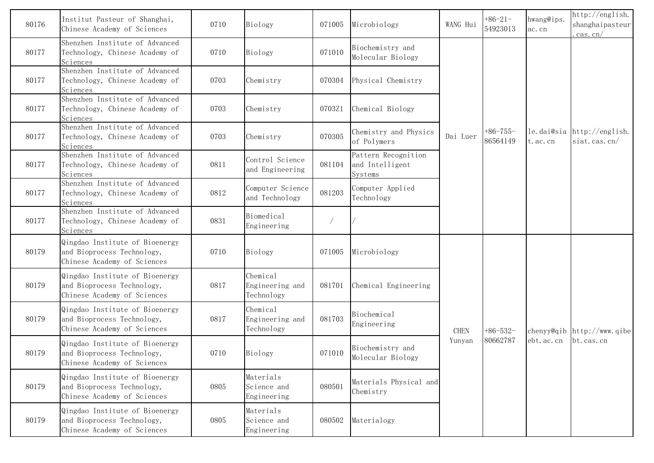| 80176 | Institut Pasteur of Shanghai,<br>Chinese Academy of Sciences                                | 0710 | Biology                                   | 071005 | Microbiology                                      | WANG Hui    | $+86-21-$<br>54923013  | hwang@ips.<br>ac.cn | http://english.<br>shanghaipasteur<br>$\cos$ . $\cos$ |
|-------|---------------------------------------------------------------------------------------------|------|-------------------------------------------|--------|---------------------------------------------------|-------------|------------------------|---------------------|-------------------------------------------------------|
| 80177 | Shenzhen Institute of Advanced<br>Technology, Chinese Academy of<br>Sciences                | 0710 | Biology                                   | 071010 | Biochemistry and<br>Molecular Biology             |             |                        |                     |                                                       |
| 80177 | Shenzhen Institute of Advanced<br>Technology, Chinese Academy of<br>Sciences                | 0703 | Chemistry                                 | 070304 | Physical Chemistry                                |             |                        |                     |                                                       |
| 80177 | Shenzhen Institute of Advanced<br>Technology, Chinese Academy of<br>Sciences                | 0703 | Chemistry                                 | 0703Z1 | Chemical Biology                                  |             |                        |                     |                                                       |
| 80177 | Shenzhen Institute of Advanced<br>Technology, Chinese Academy of<br>Sciences                | 0703 | Chemistry                                 | 070305 | Chemistry and Physics<br>of Polymers              | Dai Luer    | $+86-755-$<br>86564149 | t.ac.cn             | le.dai@sia http://english.<br>siat.cas.cn/            |
| 80177 | Shenzhen Institute of Advanced<br>Technology, Chinese Academy of<br>Sciences                | 0811 | Control Science<br>and Engineering        | 081104 | Pattern Recognition<br>and Intelligent<br>Systems |             |                        |                     |                                                       |
| 80177 | Shenzhen Institute of Advanced<br>Technology, Chinese Academy of<br>Sciences                | 0812 | Computer Science<br>and Technology        | 081203 | Computer Applied<br>Technology                    |             |                        |                     |                                                       |
| 80177 | Shenzhen Institute of Advanced<br>Technology, Chinese Academy of<br>Sciences                | 0831 | Biomedical<br>Engineering                 |        |                                                   |             |                        |                     |                                                       |
| 80179 | Qingdao Institute of Bioenergy<br>and Bioprocess Technology,<br>Chinese Academy of Sciences | 0710 | Biology                                   | 071005 | Microbiology                                      |             |                        |                     |                                                       |
| 80179 | Qingdao Institute of Bioenergy<br>and Bioprocess Technology,<br>Chinese Academy of Sciences | 0817 | Chemical<br>Engineering and<br>Technology | 081701 | Chemical Engineering                              |             |                        |                     |                                                       |
| 80179 | Qingdao Institute of Bioenergy<br>and Bioprocess Technology,<br>Chinese Academy of Sciences | 0817 | Chemical<br>Engineering and<br>Technology | 081703 | Biochemical<br>Engineering                        | <b>CHEN</b> | $+86-532-$             |                     | chenyy@qib $\frac{h}{h}$ ttp://www.qibe               |
| 80179 | Qingdao Institute of Bioenergy<br>and Bioprocess Technology,<br>Chinese Academy of Sciences | 0710 | Biology                                   | 071010 | Biochemistry and<br>Molecular Biology             | Yunyan      | 80662787               | ebt. ac. cn         | bt. cas. cn                                           |
| 80179 | Qingdao Institute of Bioenergy<br>and Bioprocess Technology,<br>Chinese Academy of Sciences | 0805 | Materials<br>Science and<br>Engineering   | 080501 | Materials Physical and<br>Chemistry               |             |                        |                     |                                                       |
| 80179 | Qingdao Institute of Bioenergy<br>and Bioprocess Technology,<br>Chinese Academy of Sciences | 0805 | Materials<br>Science and<br>Engineering   | 080502 | Materialogy                                       |             |                        |                     |                                                       |